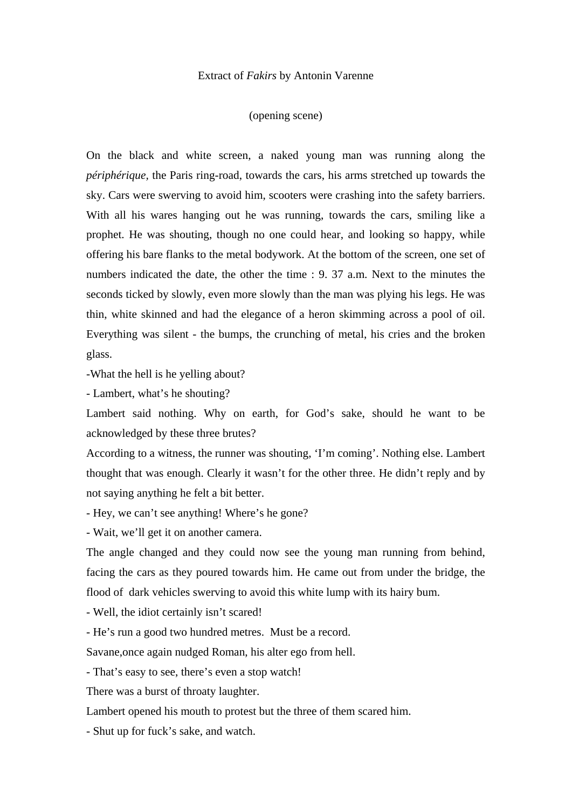## Extract of *Fakirs* by Antonin Varenne

## (opening scene)

On the black and white screen, a naked young man was running along the *périphérique,* the Paris ring-road, towards the cars, his arms stretched up towards the sky. Cars were swerving to avoid him, scooters were crashing into the safety barriers. With all his wares hanging out he was running, towards the cars, smiling like a prophet. He was shouting, though no one could hear, and looking so happy, while offering his bare flanks to the metal bodywork. At the bottom of the screen, one set of numbers indicated the date, the other the time : 9. 37 a.m. Next to the minutes the seconds ticked by slowly, even more slowly than the man was plying his legs. He was thin, white skinned and had the elegance of a heron skimming across a pool of oil. Everything was silent - the bumps, the crunching of metal, his cries and the broken glass.

-What the hell is he yelling about?

- Lambert, what's he shouting?

Lambert said nothing. Why on earth, for God's sake, should he want to be acknowledged by these three brutes?

According to a witness, the runner was shouting, 'I'm coming'. Nothing else. Lambert thought that was enough. Clearly it wasn't for the other three. He didn't reply and by not saying anything he felt a bit better.

- Hey, we can't see anything! Where's he gone?

- Wait, we'll get it on another camera.

The angle changed and they could now see the young man running from behind, facing the cars as they poured towards him. He came out from under the bridge, the flood of dark vehicles swerving to avoid this white lump with its hairy bum.

- Well, the idiot certainly isn't scared!

- He's run a good two hundred metres. Must be a record.

Savane,once again nudged Roman, his alter ego from hell.

- That's easy to see, there's even a stop watch!

There was a burst of throaty laughter.

Lambert opened his mouth to protest but the three of them scared him.

- Shut up for fuck's sake, and watch.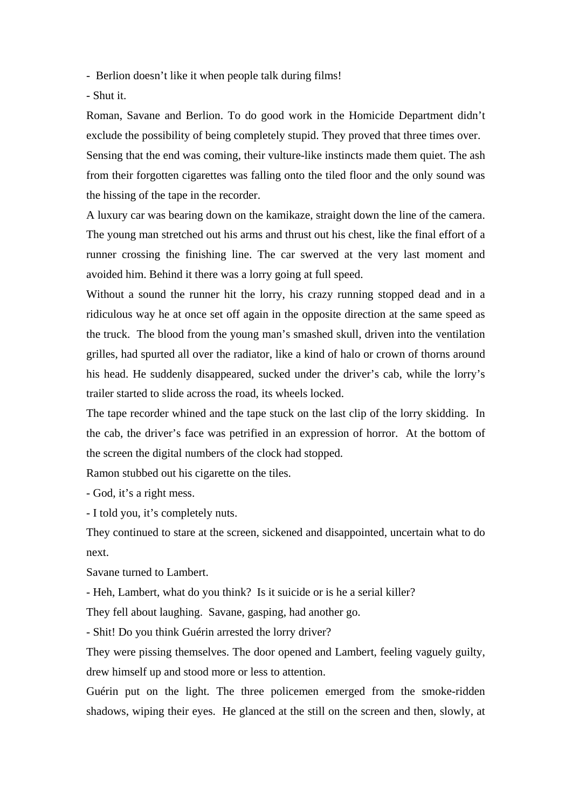- Berlion doesn't like it when people talk during films!

- Shut it.

Roman, Savane and Berlion. To do good work in the Homicide Department didn't exclude the possibility of being completely stupid. They proved that three times over. Sensing that the end was coming, their vulture-like instincts made them quiet. The ash from their forgotten cigarettes was falling onto the tiled floor and the only sound was the hissing of the tape in the recorder.

A luxury car was bearing down on the kamikaze, straight down the line of the camera. The young man stretched out his arms and thrust out his chest, like the final effort of a runner crossing the finishing line. The car swerved at the very last moment and avoided him. Behind it there was a lorry going at full speed.

Without a sound the runner hit the lorry, his crazy running stopped dead and in a ridiculous way he at once set off again in the opposite direction at the same speed as the truck. The blood from the young man's smashed skull, driven into the ventilation grilles, had spurted all over the radiator, like a kind of halo or crown of thorns around his head. He suddenly disappeared, sucked under the driver's cab, while the lorry's trailer started to slide across the road, its wheels locked.

The tape recorder whined and the tape stuck on the last clip of the lorry skidding. In the cab, the driver's face was petrified in an expression of horror. At the bottom of the screen the digital numbers of the clock had stopped.

Ramon stubbed out his cigarette on the tiles.

- God, it's a right mess.

- I told you, it's completely nuts.

They continued to stare at the screen, sickened and disappointed, uncertain what to do next.

Savane turned to Lambert.

- Heh, Lambert, what do you think? Is it suicide or is he a serial killer?

They fell about laughing. Savane, gasping, had another go.

- Shit! Do you think Guérin arrested the lorry driver?

They were pissing themselves. The door opened and Lambert, feeling vaguely guilty, drew himself up and stood more or less to attention.

Guérin put on the light. The three policemen emerged from the smoke-ridden shadows, wiping their eyes. He glanced at the still on the screen and then, slowly, at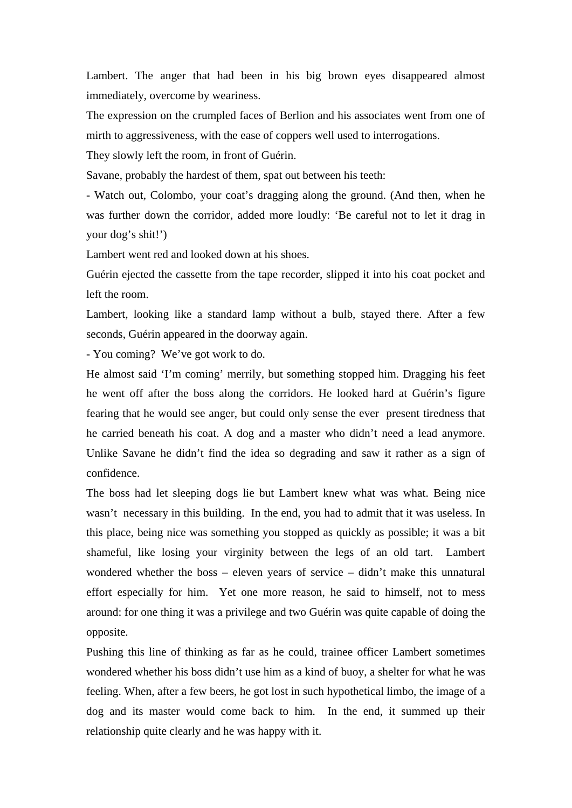Lambert. The anger that had been in his big brown eyes disappeared almost immediately, overcome by weariness.

The expression on the crumpled faces of Berlion and his associates went from one of mirth to aggressiveness, with the ease of coppers well used to interrogations.

They slowly left the room, in front of Guérin.

Savane, probably the hardest of them, spat out between his teeth:

- Watch out, Colombo, your coat's dragging along the ground. (And then, when he was further down the corridor, added more loudly: 'Be careful not to let it drag in your dog's shit!')

Lambert went red and looked down at his shoes.

Guérin ejected the cassette from the tape recorder, slipped it into his coat pocket and left the room.

Lambert, looking like a standard lamp without a bulb, stayed there. After a few seconds, Guérin appeared in the doorway again.

- You coming? We've got work to do.

He almost said 'I'm coming' merrily, but something stopped him. Dragging his feet he went off after the boss along the corridors. He looked hard at Guérin's figure fearing that he would see anger, but could only sense the ever present tiredness that he carried beneath his coat. A dog and a master who didn't need a lead anymore. Unlike Savane he didn't find the idea so degrading and saw it rather as a sign of confidence.

The boss had let sleeping dogs lie but Lambert knew what was what. Being nice wasn't necessary in this building. In the end, you had to admit that it was useless. In this place, being nice was something you stopped as quickly as possible; it was a bit shameful, like losing your virginity between the legs of an old tart. Lambert wondered whether the boss – eleven years of service – didn't make this unnatural effort especially for him. Yet one more reason, he said to himself, not to mess around: for one thing it was a privilege and two Guérin was quite capable of doing the opposite.

Pushing this line of thinking as far as he could, trainee officer Lambert sometimes wondered whether his boss didn't use him as a kind of buoy, a shelter for what he was feeling. When, after a few beers, he got lost in such hypothetical limbo, the image of a dog and its master would come back to him. In the end, it summed up their relationship quite clearly and he was happy with it.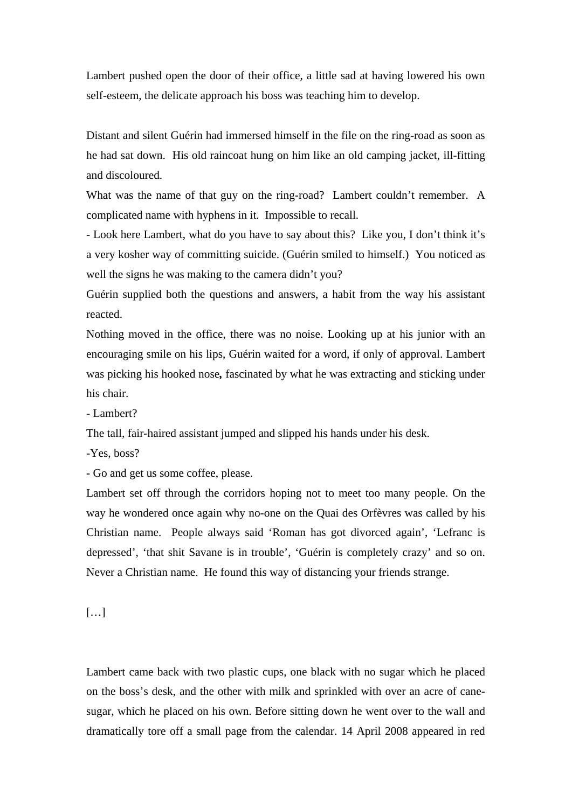Lambert pushed open the door of their office, a little sad at having lowered his own self-esteem, the delicate approach his boss was teaching him to develop.

Distant and silent Guérin had immersed himself in the file on the ring-road as soon as he had sat down. His old raincoat hung on him like an old camping jacket, ill-fitting and discoloured.

What was the name of that guy on the ring-road? Lambert couldn't remember. A complicated name with hyphens in it. Impossible to recall.

- Look here Lambert, what do you have to say about this? Like you, I don't think it's a very kosher way of committing suicide. (Guérin smiled to himself.) You noticed as well the signs he was making to the camera didn't you?

Guérin supplied both the questions and answers, a habit from the way his assistant reacted.

Nothing moved in the office, there was no noise. Looking up at his junior with an encouraging smile on his lips, Guérin waited for a word, if only of approval. Lambert was picking his hooked nose*,* fascinated by what he was extracting and sticking under his chair.

- Lambert?

The tall, fair-haired assistant jumped and slipped his hands under his desk.

-Yes, boss?

- Go and get us some coffee, please.

Lambert set off through the corridors hoping not to meet too many people. On the way he wondered once again why no-one on the Quai des Orfèvres was called by his Christian name. People always said 'Roman has got divorced again', 'Lefranc is depressed', 'that shit Savane is in trouble', 'Guérin is completely crazy' and so on. Never a Christian name. He found this way of distancing your friends strange.

[…]

Lambert came back with two plastic cups, one black with no sugar which he placed on the boss's desk, and the other with milk and sprinkled with over an acre of canesugar, which he placed on his own. Before sitting down he went over to the wall and dramatically tore off a small page from the calendar. 14 April 2008 appeared in red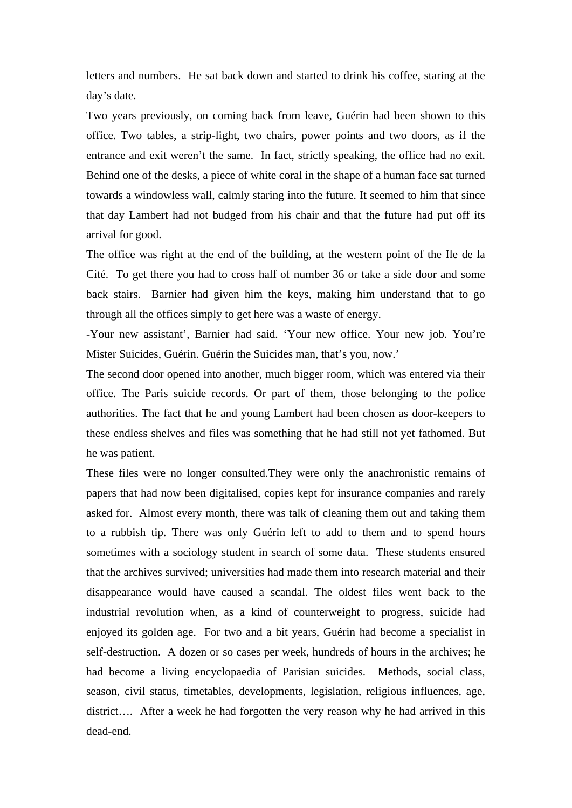letters and numbers. He sat back down and started to drink his coffee, staring at the day's date.

Two years previously, on coming back from leave, Guérin had been shown to this office. Two tables, a strip-light, two chairs, power points and two doors, as if the entrance and exit weren't the same. In fact, strictly speaking, the office had no exit. Behind one of the desks, a piece of white coral in the shape of a human face sat turned towards a windowless wall, calmly staring into the future. It seemed to him that since that day Lambert had not budged from his chair and that the future had put off its arrival for good.

The office was right at the end of the building, at the western point of the Ile de la Cité. To get there you had to cross half of number 36 or take a side door and some back stairs. Barnier had given him the keys, making him understand that to go through all the offices simply to get here was a waste of energy.

-Your new assistant', Barnier had said. 'Your new office. Your new job. You're Mister Suicides, Guérin. Guérin the Suicides man, that's you, now.'

The second door opened into another, much bigger room, which was entered via their office. The Paris suicide records. Or part of them, those belonging to the police authorities. The fact that he and young Lambert had been chosen as door-keepers to these endless shelves and files was something that he had still not yet fathomed. But he was patient.

These files were no longer consulted.They were only the anachronistic remains of papers that had now been digitalised, copies kept for insurance companies and rarely asked for. Almost every month, there was talk of cleaning them out and taking them to a rubbish tip. There was only Guérin left to add to them and to spend hours sometimes with a sociology student in search of some data. These students ensured that the archives survived; universities had made them into research material and their disappearance would have caused a scandal. The oldest files went back to the industrial revolution when, as a kind of counterweight to progress, suicide had enjoyed its golden age. For two and a bit years, Guérin had become a specialist in self-destruction. A dozen or so cases per week, hundreds of hours in the archives; he had become a living encyclopaedia of Parisian suicides. Methods, social class, season, civil status, timetables, developments, legislation, religious influences, age, district…. After a week he had forgotten the very reason why he had arrived in this dead-end.